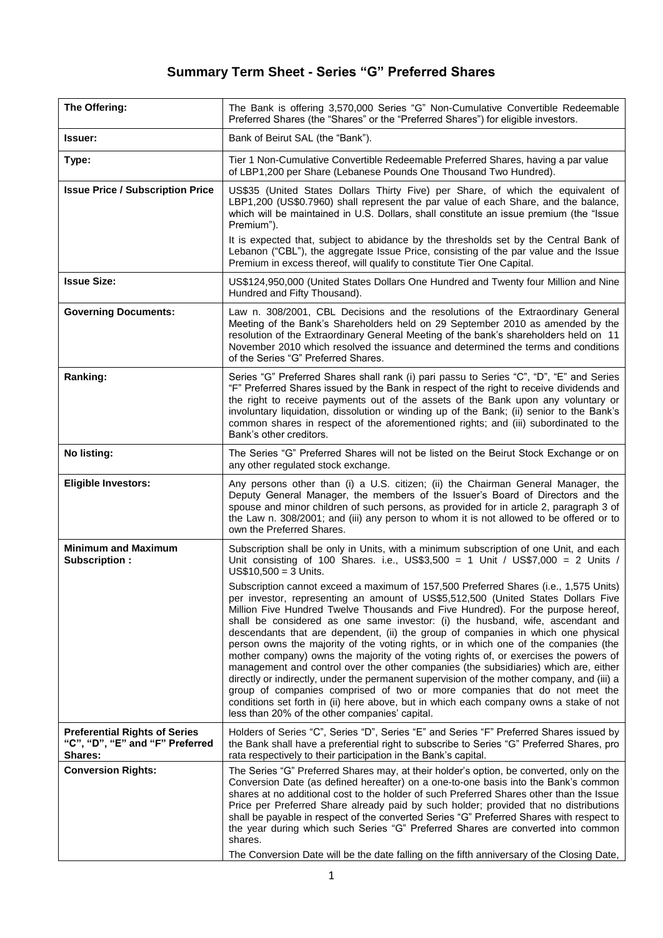## **Summary Term Sheet - Series "G" Preferred Shares**

| The Offering:                                                                      | The Bank is offering 3,570,000 Series "G" Non-Cumulative Convertible Redeemable<br>Preferred Shares (the "Shares" or the "Preferred Shares") for eligible investors.                                                                                                                                                                                                                                                                                                                                                                                                                                                                                                                                                                                                                                                                                                                                                                                                                                                                  |
|------------------------------------------------------------------------------------|---------------------------------------------------------------------------------------------------------------------------------------------------------------------------------------------------------------------------------------------------------------------------------------------------------------------------------------------------------------------------------------------------------------------------------------------------------------------------------------------------------------------------------------------------------------------------------------------------------------------------------------------------------------------------------------------------------------------------------------------------------------------------------------------------------------------------------------------------------------------------------------------------------------------------------------------------------------------------------------------------------------------------------------|
| lssuer:                                                                            | Bank of Beirut SAL (the "Bank").                                                                                                                                                                                                                                                                                                                                                                                                                                                                                                                                                                                                                                                                                                                                                                                                                                                                                                                                                                                                      |
| Type:                                                                              | Tier 1 Non-Cumulative Convertible Redeemable Preferred Shares, having a par value<br>of LBP1,200 per Share (Lebanese Pounds One Thousand Two Hundred).                                                                                                                                                                                                                                                                                                                                                                                                                                                                                                                                                                                                                                                                                                                                                                                                                                                                                |
| <b>Issue Price / Subscription Price</b>                                            | US\$35 (United States Dollars Thirty Five) per Share, of which the equivalent of<br>LBP1,200 (US\$0.7960) shall represent the par value of each Share, and the balance,<br>which will be maintained in U.S. Dollars, shall constitute an issue premium (the "Issue<br>Premium").                                                                                                                                                                                                                                                                                                                                                                                                                                                                                                                                                                                                                                                                                                                                                      |
|                                                                                    | It is expected that, subject to abidance by the thresholds set by the Central Bank of<br>Lebanon ("CBL"), the aggregate Issue Price, consisting of the par value and the Issue<br>Premium in excess thereof, will qualify to constitute Tier One Capital.                                                                                                                                                                                                                                                                                                                                                                                                                                                                                                                                                                                                                                                                                                                                                                             |
| <b>Issue Size:</b>                                                                 | US\$124,950,000 (United States Dollars One Hundred and Twenty four Million and Nine<br>Hundred and Fifty Thousand).                                                                                                                                                                                                                                                                                                                                                                                                                                                                                                                                                                                                                                                                                                                                                                                                                                                                                                                   |
| <b>Governing Documents:</b>                                                        | Law n. 308/2001, CBL Decisions and the resolutions of the Extraordinary General<br>Meeting of the Bank's Shareholders held on 29 September 2010 as amended by the<br>resolution of the Extraordinary General Meeting of the bank's shareholders held on 11<br>November 2010 which resolved the issuance and determined the terms and conditions<br>of the Series "G" Preferred Shares.                                                                                                                                                                                                                                                                                                                                                                                                                                                                                                                                                                                                                                                |
| Ranking:                                                                           | Series "G" Preferred Shares shall rank (i) pari passu to Series "C", "D", "E" and Series<br>"F" Preferred Shares issued by the Bank in respect of the right to receive dividends and<br>the right to receive payments out of the assets of the Bank upon any voluntary or<br>involuntary liquidation, dissolution or winding up of the Bank; (ii) senior to the Bank's<br>common shares in respect of the aforementioned rights; and (iii) subordinated to the<br>Bank's other creditors.                                                                                                                                                                                                                                                                                                                                                                                                                                                                                                                                             |
| No listing:                                                                        | The Series "G" Preferred Shares will not be listed on the Beirut Stock Exchange or on<br>any other regulated stock exchange.                                                                                                                                                                                                                                                                                                                                                                                                                                                                                                                                                                                                                                                                                                                                                                                                                                                                                                          |
| <b>Eligible Investors:</b>                                                         | Any persons other than (i) a U.S. citizen; (ii) the Chairman General Manager, the<br>Deputy General Manager, the members of the Issuer's Board of Directors and the<br>spouse and minor children of such persons, as provided for in article 2, paragraph 3 of<br>the Law n. 308/2001; and (iii) any person to whom it is not allowed to be offered or to<br>own the Preferred Shares.                                                                                                                                                                                                                                                                                                                                                                                                                                                                                                                                                                                                                                                |
| <b>Minimum and Maximum</b><br>Subscription:                                        | Subscription shall be only in Units, with a minimum subscription of one Unit, and each<br>Unit consisting of 100 Shares. i.e., US\$3,500 = 1 Unit / US\$7,000 = 2 Units /<br>$US$10,500 = 3$ Units.                                                                                                                                                                                                                                                                                                                                                                                                                                                                                                                                                                                                                                                                                                                                                                                                                                   |
|                                                                                    | Subscription cannot exceed a maximum of 157,500 Preferred Shares (i.e., 1,575 Units)<br>per investor, representing an amount of US\$5,512,500 (United States Dollars Five<br>Million Five Hundred Twelve Thousands and Five Hundred). For the purpose hereof,<br>shall be considered as one same investor: (i) the husband, wife, ascendant and<br>descendants that are dependent, (ii) the group of companies in which one physical<br>person owns the majority of the voting rights, or in which one of the companies (the<br>mother company) owns the majority of the voting rights of, or exercises the powers of<br>management and control over the other companies (the subsidiaries) which are, either<br>directly or indirectly, under the permanent supervision of the mother company, and (iii) a<br>group of companies comprised of two or more companies that do not meet the<br>conditions set forth in (ii) here above, but in which each company owns a stake of not<br>less than 20% of the other companies' capital. |
| <b>Preferential Rights of Series</b><br>"C", "D", "E" and "F" Preferred<br>Shares: | Holders of Series "C", Series "D", Series "E" and Series "F" Preferred Shares issued by<br>the Bank shall have a preferential right to subscribe to Series "G" Preferred Shares, pro<br>rata respectively to their participation in the Bank's capital.                                                                                                                                                                                                                                                                                                                                                                                                                                                                                                                                                                                                                                                                                                                                                                               |
| <b>Conversion Rights:</b>                                                          | The Series "G" Preferred Shares may, at their holder's option, be converted, only on the<br>Conversion Date (as defined hereafter) on a one-to-one basis into the Bank's common<br>shares at no additional cost to the holder of such Preferred Shares other than the Issue<br>Price per Preferred Share already paid by such holder; provided that no distributions<br>shall be payable in respect of the converted Series "G" Preferred Shares with respect to<br>the year during which such Series "G" Preferred Shares are converted into common<br>shares.<br>The Conversion Date will be the date falling on the fifth anniversary of the Closing Date,                                                                                                                                                                                                                                                                                                                                                                         |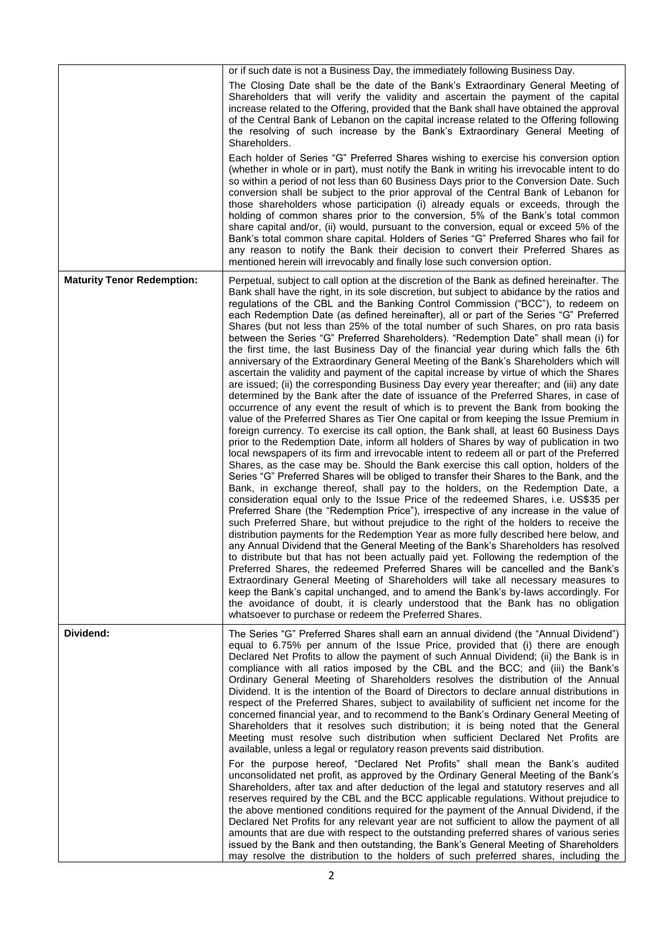|                                   | or if such date is not a Business Day, the immediately following Business Day.                                                                                                                                                                                                                                                                                                                                                                                                                                                                                                                                                                                                                                                                                                                                                                                                                                                                                                                                                                                                                                                                                                                                                                                                                                                                                                                                                                                                                                                                                                                                                                                                                                                                                                                                                                                                                                                                                                                                                                                                                                                                                                                                                                                                                                                                                                                                                                                                                                                                                                                                                                                                                                                                  |
|-----------------------------------|-------------------------------------------------------------------------------------------------------------------------------------------------------------------------------------------------------------------------------------------------------------------------------------------------------------------------------------------------------------------------------------------------------------------------------------------------------------------------------------------------------------------------------------------------------------------------------------------------------------------------------------------------------------------------------------------------------------------------------------------------------------------------------------------------------------------------------------------------------------------------------------------------------------------------------------------------------------------------------------------------------------------------------------------------------------------------------------------------------------------------------------------------------------------------------------------------------------------------------------------------------------------------------------------------------------------------------------------------------------------------------------------------------------------------------------------------------------------------------------------------------------------------------------------------------------------------------------------------------------------------------------------------------------------------------------------------------------------------------------------------------------------------------------------------------------------------------------------------------------------------------------------------------------------------------------------------------------------------------------------------------------------------------------------------------------------------------------------------------------------------------------------------------------------------------------------------------------------------------------------------------------------------------------------------------------------------------------------------------------------------------------------------------------------------------------------------------------------------------------------------------------------------------------------------------------------------------------------------------------------------------------------------------------------------------------------------------------------------------------------------|
|                                   | The Closing Date shall be the date of the Bank's Extraordinary General Meeting of<br>Shareholders that will verify the validity and ascertain the payment of the capital<br>increase related to the Offering, provided that the Bank shall have obtained the approval<br>of the Central Bank of Lebanon on the capital increase related to the Offering following<br>the resolving of such increase by the Bank's Extraordinary General Meeting of<br>Shareholders.                                                                                                                                                                                                                                                                                                                                                                                                                                                                                                                                                                                                                                                                                                                                                                                                                                                                                                                                                                                                                                                                                                                                                                                                                                                                                                                                                                                                                                                                                                                                                                                                                                                                                                                                                                                                                                                                                                                                                                                                                                                                                                                                                                                                                                                                             |
|                                   | Each holder of Series "G" Preferred Shares wishing to exercise his conversion option<br>(whether in whole or in part), must notify the Bank in writing his irrevocable intent to do<br>so within a period of not less than 60 Business Days prior to the Conversion Date. Such<br>conversion shall be subject to the prior approval of the Central Bank of Lebanon for<br>those shareholders whose participation (i) already equals or exceeds, through the<br>holding of common shares prior to the conversion, 5% of the Bank's total common<br>share capital and/or, (ii) would, pursuant to the conversion, equal or exceed 5% of the<br>Bank's total common share capital. Holders of Series "G" Preferred Shares who fail for<br>any reason to notify the Bank their decision to convert their Preferred Shares as<br>mentioned herein will irrevocably and finally lose such conversion option.                                                                                                                                                                                                                                                                                                                                                                                                                                                                                                                                                                                                                                                                                                                                                                                                                                                                                                                                                                                                                                                                                                                                                                                                                                                                                                                                                                                                                                                                                                                                                                                                                                                                                                                                                                                                                                          |
| <b>Maturity Tenor Redemption:</b> | Perpetual, subject to call option at the discretion of the Bank as defined hereinafter. The<br>Bank shall have the right, in its sole discretion, but subject to abidance by the ratios and<br>regulations of the CBL and the Banking Control Commission ("BCC"), to redeem on<br>each Redemption Date (as defined hereinafter), all or part of the Series "G" Preferred<br>Shares (but not less than 25% of the total number of such Shares, on pro rata basis<br>between the Series "G" Preferred Shareholders). "Redemption Date" shall mean (i) for<br>the first time, the last Business Day of the financial year during which falls the 6th<br>anniversary of the Extraordinary General Meeting of the Bank's Shareholders which will<br>ascertain the validity and payment of the capital increase by virtue of which the Shares<br>are issued; (ii) the corresponding Business Day every year thereafter; and (iii) any date<br>determined by the Bank after the date of issuance of the Preferred Shares, in case of<br>occurrence of any event the result of which is to prevent the Bank from booking the<br>value of the Preferred Shares as Tier One capital or from keeping the Issue Premium in<br>foreign currency. To exercise its call option, the Bank shall, at least 60 Business Days<br>prior to the Redemption Date, inform all holders of Shares by way of publication in two<br>local newspapers of its firm and irrevocable intent to redeem all or part of the Preferred<br>Shares, as the case may be. Should the Bank exercise this call option, holders of the<br>Series "G" Preferred Shares will be obliged to transfer their Shares to the Bank, and the<br>Bank, in exchange thereof, shall pay to the holders, on the Redemption Date, a<br>consideration equal only to the Issue Price of the redeemed Shares, i.e. US\$35 per<br>Preferred Share (the "Redemption Price"), irrespective of any increase in the value of<br>such Preferred Share, but without prejudice to the right of the holders to receive the<br>distribution payments for the Redemption Year as more fully described here below, and<br>any Annual Dividend that the General Meeting of the Bank's Shareholders has resolved<br>to distribute but that has not been actually paid yet. Following the redemption of the<br>Preferred Shares, the redeemed Preferred Shares will be cancelled and the Bank's<br>Extraordinary General Meeting of Shareholders will take all necessary measures to<br>keep the Bank's capital unchanged, and to amend the Bank's by-laws accordingly. For<br>the avoidance of doubt, it is clearly understood that the Bank has no obligation<br>whatsoever to purchase or redeem the Preferred Shares. |
| Dividend:                         | The Series "G" Preferred Shares shall earn an annual dividend (the "Annual Dividend")<br>equal to 6.75% per annum of the Issue Price, provided that (i) there are enough<br>Declared Net Profits to allow the payment of such Annual Dividend; (ii) the Bank is in<br>compliance with all ratios imposed by the CBL and the BCC; and (iii) the Bank's<br>Ordinary General Meeting of Shareholders resolves the distribution of the Annual<br>Dividend. It is the intention of the Board of Directors to declare annual distributions in<br>respect of the Preferred Shares, subject to availability of sufficient net income for the<br>concerned financial year, and to recommend to the Bank's Ordinary General Meeting of<br>Shareholders that it resolves such distribution; it is being noted that the General<br>Meeting must resolve such distribution when sufficient Declared Net Profits are<br>available, unless a legal or regulatory reason prevents said distribution.<br>For the purpose hereof, "Declared Net Profits" shall mean the Bank's audited<br>unconsolidated net profit, as approved by the Ordinary General Meeting of the Bank's<br>Shareholders, after tax and after deduction of the legal and statutory reserves and all<br>reserves required by the CBL and the BCC applicable regulations. Without prejudice to<br>the above mentioned conditions required for the payment of the Annual Dividend, if the<br>Declared Net Profits for any relevant year are not sufficient to allow the payment of all<br>amounts that are due with respect to the outstanding preferred shares of various series<br>issued by the Bank and then outstanding, the Bank's General Meeting of Shareholders<br>may resolve the distribution to the holders of such preferred shares, including the                                                                                                                                                                                                                                                                                                                                                                                                                                                                                                                                                                                                                                                                                                                                                                                                                                                                                                                                |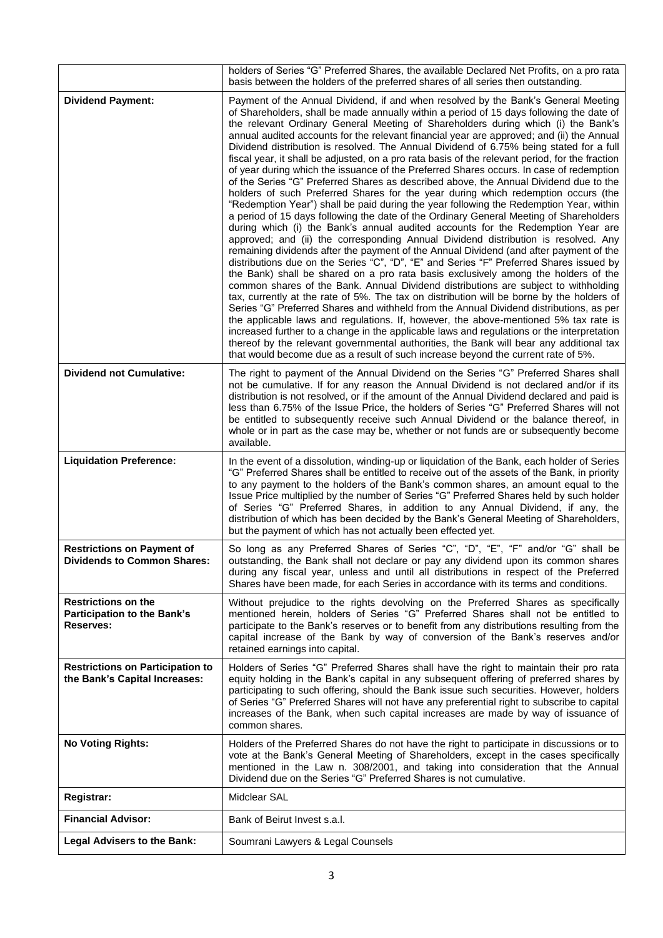|                                                                          | holders of Series "G" Preferred Shares, the available Declared Net Profits, on a pro rata<br>basis between the holders of the preferred shares of all series then outstanding.                                                                                                                                                                                                                                                                                                                                                                                                                                                                                                                                                                                                                                                                                                                                                                                                                                                                                                                                                                                                                                                                                                                                                                                                                                                                                                                                                                                                                                                                                                                                                                                                                                                                                                                                                                                                                                                                                                                                                       |
|--------------------------------------------------------------------------|--------------------------------------------------------------------------------------------------------------------------------------------------------------------------------------------------------------------------------------------------------------------------------------------------------------------------------------------------------------------------------------------------------------------------------------------------------------------------------------------------------------------------------------------------------------------------------------------------------------------------------------------------------------------------------------------------------------------------------------------------------------------------------------------------------------------------------------------------------------------------------------------------------------------------------------------------------------------------------------------------------------------------------------------------------------------------------------------------------------------------------------------------------------------------------------------------------------------------------------------------------------------------------------------------------------------------------------------------------------------------------------------------------------------------------------------------------------------------------------------------------------------------------------------------------------------------------------------------------------------------------------------------------------------------------------------------------------------------------------------------------------------------------------------------------------------------------------------------------------------------------------------------------------------------------------------------------------------------------------------------------------------------------------------------------------------------------------------------------------------------------------|
| <b>Dividend Payment:</b>                                                 | Payment of the Annual Dividend, if and when resolved by the Bank's General Meeting<br>of Shareholders, shall be made annually within a period of 15 days following the date of<br>the relevant Ordinary General Meeting of Shareholders during which (i) the Bank's<br>annual audited accounts for the relevant financial year are approved; and (ii) the Annual<br>Dividend distribution is resolved. The Annual Dividend of 6.75% being stated for a full<br>fiscal year, it shall be adjusted, on a pro rata basis of the relevant period, for the fraction<br>of year during which the issuance of the Preferred Shares occurs. In case of redemption<br>of the Series "G" Preferred Shares as described above, the Annual Dividend due to the<br>holders of such Preferred Shares for the year during which redemption occurs (the<br>"Redemption Year") shall be paid during the year following the Redemption Year, within<br>a period of 15 days following the date of the Ordinary General Meeting of Shareholders<br>during which (i) the Bank's annual audited accounts for the Redemption Year are<br>approved; and (ii) the corresponding Annual Dividend distribution is resolved. Any<br>remaining dividends after the payment of the Annual Dividend (and after payment of the<br>distributions due on the Series "C", "D", "E" and Series "F" Preferred Shares issued by<br>the Bank) shall be shared on a pro rata basis exclusively among the holders of the<br>common shares of the Bank. Annual Dividend distributions are subject to withholding<br>tax, currently at the rate of 5%. The tax on distribution will be borne by the holders of<br>Series "G" Preferred Shares and withheld from the Annual Dividend distributions, as per<br>the applicable laws and regulations. If, however, the above-mentioned 5% tax rate is<br>increased further to a change in the applicable laws and regulations or the interpretation<br>thereof by the relevant governmental authorities, the Bank will bear any additional tax<br>that would become due as a result of such increase beyond the current rate of 5%. |
| <b>Dividend not Cumulative:</b>                                          | The right to payment of the Annual Dividend on the Series "G" Preferred Shares shall<br>not be cumulative. If for any reason the Annual Dividend is not declared and/or if its<br>distribution is not resolved, or if the amount of the Annual Dividend declared and paid is<br>less than 6.75% of the Issue Price, the holders of Series "G" Preferred Shares will not<br>be entitled to subsequently receive such Annual Dividend or the balance thereof, in<br>whole or in part as the case may be, whether or not funds are or subsequently become<br>available.                                                                                                                                                                                                                                                                                                                                                                                                                                                                                                                                                                                                                                                                                                                                                                                                                                                                                                                                                                                                                                                                                                                                                                                                                                                                                                                                                                                                                                                                                                                                                                 |
| <b>Liquidation Preference:</b>                                           | In the event of a dissolution, winding-up or liquidation of the Bank, each holder of Series<br>"G" Preferred Shares shall be entitled to receive out of the assets of the Bank, in priority<br>to any payment to the holders of the Bank's common shares, an amount equal to the<br>Issue Price multiplied by the number of Series "G" Preferred Shares held by such holder<br>of Series "G" Preferred Shares, in addition to any Annual Dividend, if any, the<br>distribution of which has been decided by the Bank's General Meeting of Shareholders,<br>but the payment of which has not actually been effected yet.                                                                                                                                                                                                                                                                                                                                                                                                                                                                                                                                                                                                                                                                                                                                                                                                                                                                                                                                                                                                                                                                                                                                                                                                                                                                                                                                                                                                                                                                                                              |
| <b>Restrictions on Payment of</b><br><b>Dividends to Common Shares:</b>  | So long as any Preferred Shares of Series "C", "D", "E", "F" and/or "G" shall be<br>outstanding, the Bank shall not declare or pay any dividend upon its common shares<br>during any fiscal year, unless and until all distributions in respect of the Preferred<br>Shares have been made, for each Series in accordance with its terms and conditions.                                                                                                                                                                                                                                                                                                                                                                                                                                                                                                                                                                                                                                                                                                                                                                                                                                                                                                                                                                                                                                                                                                                                                                                                                                                                                                                                                                                                                                                                                                                                                                                                                                                                                                                                                                              |
| <b>Restrictions on the</b><br>Participation to the Bank's<br>Reserves:   | Without prejudice to the rights devolving on the Preferred Shares as specifically<br>mentioned herein, holders of Series "G" Preferred Shares shall not be entitled to<br>participate to the Bank's reserves or to benefit from any distributions resulting from the<br>capital increase of the Bank by way of conversion of the Bank's reserves and/or<br>retained earnings into capital.                                                                                                                                                                                                                                                                                                                                                                                                                                                                                                                                                                                                                                                                                                                                                                                                                                                                                                                                                                                                                                                                                                                                                                                                                                                                                                                                                                                                                                                                                                                                                                                                                                                                                                                                           |
| <b>Restrictions on Participation to</b><br>the Bank's Capital Increases: | Holders of Series "G" Preferred Shares shall have the right to maintain their pro rata<br>equity holding in the Bank's capital in any subsequent offering of preferred shares by<br>participating to such offering, should the Bank issue such securities. However, holders<br>of Series "G" Preferred Shares will not have any preferential right to subscribe to capital<br>increases of the Bank, when such capital increases are made by way of issuance of<br>common shares.                                                                                                                                                                                                                                                                                                                                                                                                                                                                                                                                                                                                                                                                                                                                                                                                                                                                                                                                                                                                                                                                                                                                                                                                                                                                                                                                                                                                                                                                                                                                                                                                                                                    |
| <b>No Voting Rights:</b>                                                 | Holders of the Preferred Shares do not have the right to participate in discussions or to<br>vote at the Bank's General Meeting of Shareholders, except in the cases specifically<br>mentioned in the Law n. 308/2001, and taking into consideration that the Annual<br>Dividend due on the Series "G" Preferred Shares is not cumulative.                                                                                                                                                                                                                                                                                                                                                                                                                                                                                                                                                                                                                                                                                                                                                                                                                                                                                                                                                                                                                                                                                                                                                                                                                                                                                                                                                                                                                                                                                                                                                                                                                                                                                                                                                                                           |
| Registrar:                                                               | Midclear SAL                                                                                                                                                                                                                                                                                                                                                                                                                                                                                                                                                                                                                                                                                                                                                                                                                                                                                                                                                                                                                                                                                                                                                                                                                                                                                                                                                                                                                                                                                                                                                                                                                                                                                                                                                                                                                                                                                                                                                                                                                                                                                                                         |
| <b>Financial Advisor:</b>                                                | Bank of Beirut Invest s.a.l.                                                                                                                                                                                                                                                                                                                                                                                                                                                                                                                                                                                                                                                                                                                                                                                                                                                                                                                                                                                                                                                                                                                                                                                                                                                                                                                                                                                                                                                                                                                                                                                                                                                                                                                                                                                                                                                                                                                                                                                                                                                                                                         |
| <b>Legal Advisers to the Bank:</b>                                       | Soumrani Lawyers & Legal Counsels                                                                                                                                                                                                                                                                                                                                                                                                                                                                                                                                                                                                                                                                                                                                                                                                                                                                                                                                                                                                                                                                                                                                                                                                                                                                                                                                                                                                                                                                                                                                                                                                                                                                                                                                                                                                                                                                                                                                                                                                                                                                                                    |